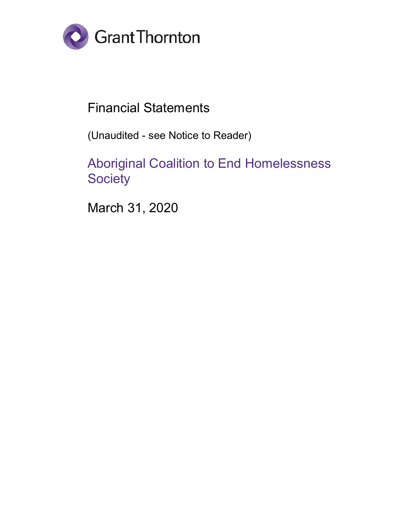

# Financial Statements

(Unaudited - see Notice to Reader)

Aboriginal Coalition to End Homelessness **Society** 

March 31, 2020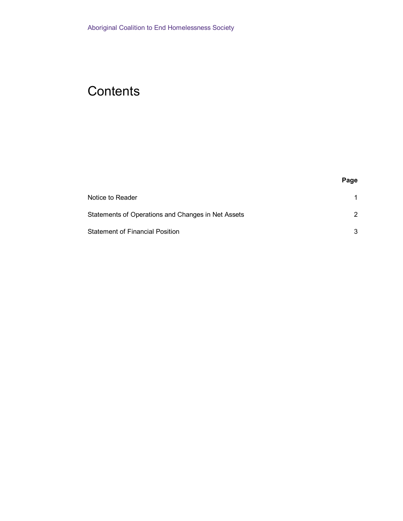# **Contents**

| Notice to Reader                                   |   |
|----------------------------------------------------|---|
| Statements of Operations and Changes in Net Assets | 2 |
| Statement of Financial Position                    | 3 |

**Page**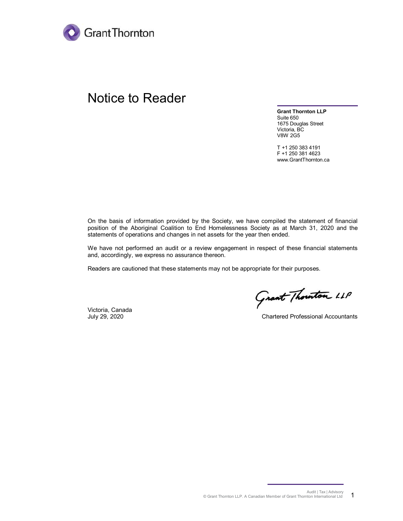

### Notice to Reader

**Grant Thornton LLP** Suite 650 1675 Douglas Street Victoria, BC V8W 2G5

T +1 250 383 4191 F +1 250 381 4623 www.GrantThornton.ca

On the basis of information provided by the Society, we have compiled the statement of financial position of the Aboriginal Coalition to End Homelessness Society as at March 31, 2020 and the statements of operations and changes in net assets for the year then ended.

We have not performed an audit or a review engagement in respect of these financial statements and, accordingly, we express no assurance thereon.

Readers are cautioned that these statements may not be appropriate for their purposes.

Victoria, Canada

Grant Thouton LLP

July 29, 2020 Chartered Professional Accountants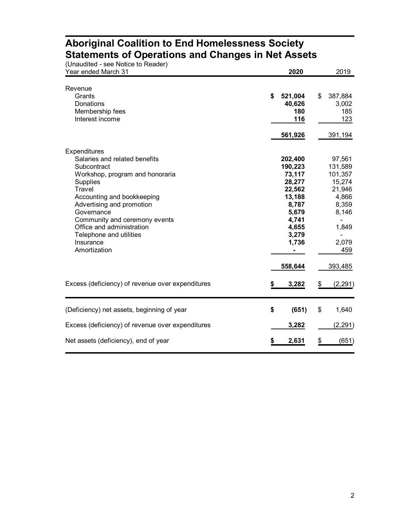| (Unaudited - see Notice to Reader)<br>Year ended March 31                                                                                                                                                                                                                                                                          | 2020                                                                                                                        | 2019                                                                                                            |
|------------------------------------------------------------------------------------------------------------------------------------------------------------------------------------------------------------------------------------------------------------------------------------------------------------------------------------|-----------------------------------------------------------------------------------------------------------------------------|-----------------------------------------------------------------------------------------------------------------|
| Revenue<br>Grants<br><b>Donations</b><br>Membership fees<br>Interest income                                                                                                                                                                                                                                                        | \$<br>521,004<br>40,626<br>180<br>116<br>561,926                                                                            | \$<br>387,884<br>3,002<br>185<br>123<br>391,194                                                                 |
| Expenditures<br>Salaries and related benefits<br>Subcontract<br>Workshop, program and honoraria<br><b>Supplies</b><br><b>Travel</b><br>Accounting and bookkeeping<br>Advertising and promotion<br>Governance<br>Community and ceremony events<br>Office and administration<br>Telephone and utilities<br>Insurance<br>Amortization | 202,400<br>190,223<br>73,117<br>28,277<br>22,562<br>13,188<br>8,787<br>5,679<br>4,741<br>4,655<br>3,279<br>1,736<br>558,644 | 97,561<br>131,589<br>101,357<br>15,274<br>21,946<br>4,866<br>8,359<br>8,146<br>1,849<br>2,079<br>459<br>393,485 |
| Excess (deficiency) of revenue over expenditures                                                                                                                                                                                                                                                                                   | 3,282                                                                                                                       | \$<br>(2, 291)                                                                                                  |
| (Deficiency) net assets, beginning of year<br>Excess (deficiency) of revenue over expenditures                                                                                                                                                                                                                                     | \$<br>(651)<br>3,282                                                                                                        | \$<br>1,640<br>(2, 291)                                                                                         |
| Net assets (deficiency), end of year                                                                                                                                                                                                                                                                                               | 2,631                                                                                                                       | \$<br>(651)                                                                                                     |

### **Aboriginal Coalition to End Homelessness Society Statements of Operations and Changes in Net Assets**